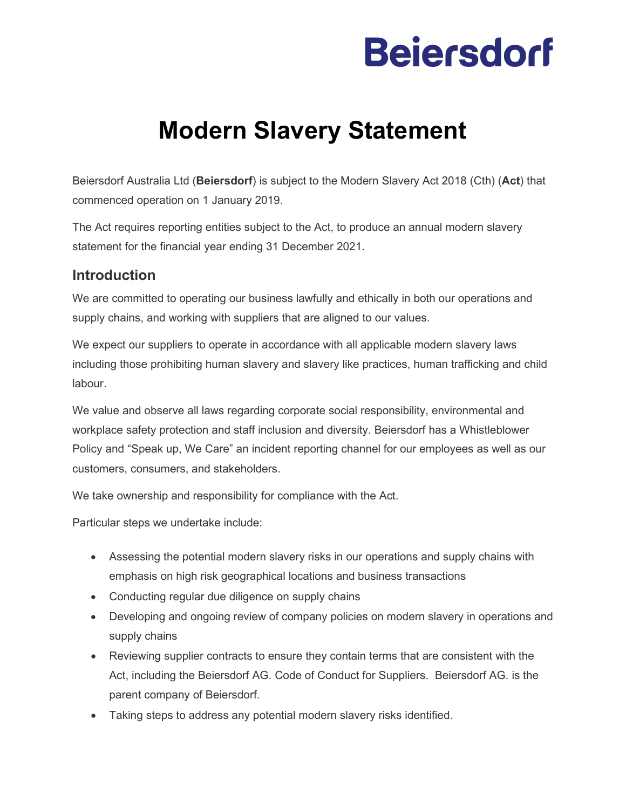# **Beiersdorf**

### **Modern Slavery Statement**

Beiersdorf Australia Ltd (**Beiersdorf**) is subject to the Modern Slavery Act 2018 (Cth) (**Act**) that commenced operation on 1 January 2019.

The Act requires reporting entities subject to the Act, to produce an annual modern slavery statement for the financial year ending 31 December 2021.

#### **Introduction**

We are committed to operating our business lawfully and ethically in both our operations and supply chains, and working with suppliers that are aligned to our values.

We expect our suppliers to operate in accordance with all applicable modern slavery laws including those prohibiting human slavery and slavery like practices, human trafficking and child labour.

We value and observe all laws regarding corporate social responsibility, environmental and workplace safety protection and staff inclusion and diversity. Beiersdorf has a Whistleblower Policy and "Speak up, We Care" an incident reporting channel for our employees as well as our customers, consumers, and stakeholders.

We take ownership and responsibility for compliance with the Act.

Particular steps we undertake include:

- Assessing the potential modern slavery risks in our operations and supply chains with emphasis on high risk geographical locations and business transactions
- Conducting regular due diligence on supply chains
- Developing and ongoing review of company policies on modern slavery in operations and supply chains
- Reviewing supplier contracts to ensure they contain terms that are consistent with the Act, including the Beiersdorf AG. Code of Conduct for Suppliers. Beiersdorf AG. is the parent company of Beiersdorf.
- Taking steps to address any potential modern slavery risks identified.